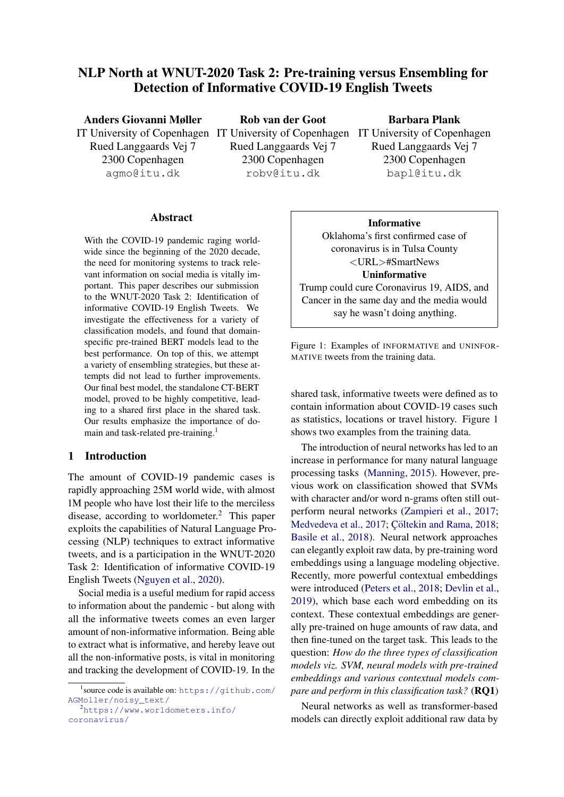# NLP North at WNUT-2020 Task 2: Pre-training versus Ensembling for Detection of Informative COVID-19 English Tweets

Anders Giovanni Møller IT University of Copenhagen IT University of Copenhagen IT University of Copenhagen Rued Langgaards Vej 7 2300 Copenhagen agmo@itu.dk

Rob van der Goot Rued Langgaards Vej 7 2300 Copenhagen robv@itu.dk

# Barbara Plank

Rued Langgaards Vej 7 2300 Copenhagen bapl@itu.dk

#### Abstract

With the COVID-19 pandemic raging worldwide since the beginning of the 2020 decade, the need for monitoring systems to track relevant information on social media is vitally important. This paper describes our submission to the WNUT-2020 Task 2: Identification of informative COVID-19 English Tweets. We investigate the effectiveness for a variety of classification models, and found that domainspecific pre-trained BERT models lead to the best performance. On top of this, we attempt a variety of ensembling strategies, but these attempts did not lead to further improvements. Our final best model, the standalone CT-BERT model, proved to be highly competitive, leading to a shared first place in the shared task. Our results emphasize the importance of do-main and task-related pre-training.<sup>[1](#page-0-0)</sup>

# <span id="page-0-3"></span>1 Introduction

The amount of COVID-19 pandemic cases is rapidly approaching 25M world wide, with almost 1M people who have lost their life to the merciless disease, according to worldometer.[2](#page-0-1) This paper exploits the capabilities of Natural Language Processing (NLP) techniques to extract informative tweets, and is a participation in the WNUT-2020 Task 2: Identification of informative COVID-19 English Tweets [\(Nguyen et al.,](#page-4-0) [2020\)](#page-4-0).

Social media is a useful medium for rapid access to information about the pandemic - but along with all the informative tweets comes an even larger amount of non-informative information. Being able to extract what is informative, and hereby leave out all the non-informative posts, is vital in monitoring and tracking the development of COVID-19. In the

#### Informative

<span id="page-0-2"></span>Oklahoma's first confirmed case of coronavirus is in Tulsa County <URL>#SmartNews Uninformative Trump could cure Coronavirus 19, AIDS, and

Cancer in the same day and the media would say he wasn't doing anything.

Figure 1: Examples of INFORMATIVE and UNINFOR-MATIVE tweets from the training data.

shared task, informative tweets were defined as to contain information about COVID-19 cases such as statistics, locations or travel history. Figure [1](#page-0-2) shows two examples from the training data.

The introduction of neural networks has led to an increase in performance for many natural language processing tasks [\(Manning,](#page-4-1) [2015\)](#page-4-1). However, previous work on classification showed that SVMs with character and/or word n-grams often still outperform neural networks [\(Zampieri et al.,](#page-5-0) [2017;](#page-5-0) [Medvedeva et al.,](#page-4-2) [2017;](#page-4-2) Cöltekin and Rama, [2018;](#page-4-3) [Basile et al.,](#page-4-4) [2018\)](#page-4-4). Neural network approaches can elegantly exploit raw data, by pre-training word embeddings using a language modeling objective. Recently, more powerful contextual embeddings were introduced [\(Peters et al.,](#page-5-1) [2018;](#page-5-1) [Devlin et al.,](#page-4-5) [2019\)](#page-4-5), which base each word embedding on its context. These contextual embeddings are generally pre-trained on huge amounts of raw data, and then fine-tuned on the target task. This leads to the question: *How do the three types of classification models viz. SVM, neural models with pre-trained embeddings and various contextual models compare and perform in this classification task?* (RQ1)

Neural networks as well as transformer-based models can directly exploit additional raw data by

<span id="page-0-0"></span><sup>1</sup> source code is available on: [https://github.com/](https://github.com/AGMoller/noisy_text/) [AGMoller/noisy\\_text/](https://github.com/AGMoller/noisy_text/)

<span id="page-0-1"></span><sup>2</sup>[https://www.worldometers.info/](https://www.worldometers.info/coronavirus/) [coronavirus/](https://www.worldometers.info/coronavirus/)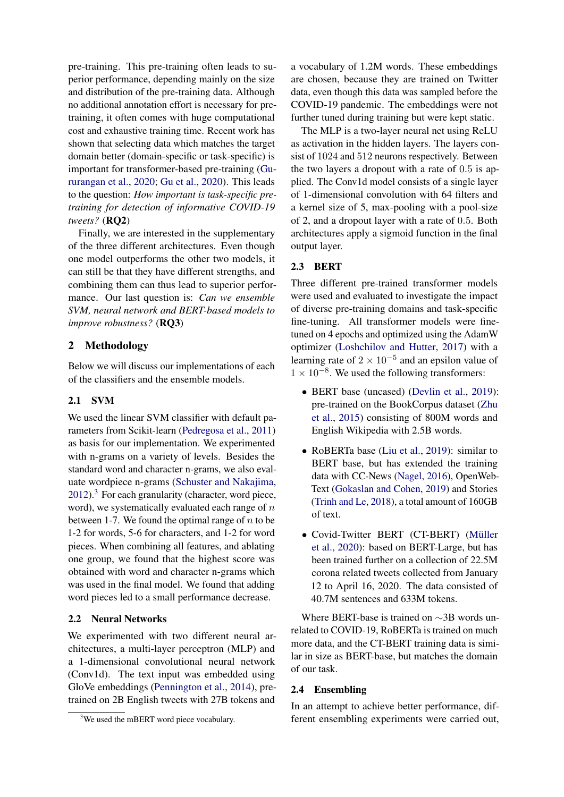pre-training. This pre-training often leads to superior performance, depending mainly on the size and distribution of the pre-training data. Although no additional annotation effort is necessary for pretraining, it often comes with huge computational cost and exhaustive training time. Recent work has shown that selecting data which matches the target domain better (domain-specific or task-specific) is important for transformer-based pre-training [\(Gu](#page-4-6)[rurangan et al.,](#page-4-6) [2020;](#page-4-6) [Gu et al.,](#page-4-7) [2020\)](#page-4-7). This leads to the question: *How important is task-specific pretraining for detection of informative COVID-19 tweets?* (RQ2)

Finally, we are interested in the supplementary of the three different architectures. Even though one model outperforms the other two models, it can still be that they have different strengths, and combining them can thus lead to superior performance. Our last question is: *Can we ensemble SVM, neural network and BERT-based models to improve robustness?* (RQ3)

# 2 Methodology

Below we will discuss our implementations of each of the classifiers and the ensemble models.

# 2.1 SVM

We used the linear SVM classifier with default parameters from Scikit-learn [\(Pedregosa et al.,](#page-4-8) [2011\)](#page-4-8) as basis for our implementation. We experimented with n-grams on a variety of levels. Besides the standard word and character n-grams, we also evaluate wordpiece n-grams [\(Schuster and Nakajima,](#page-5-2)  $2012$ ).<sup>[3](#page-1-0)</sup> For each granularity (character, word piece, word), we systematically evaluated each range of  $n$ between 1-7. We found the optimal range of  $n$  to be 1-2 for words, 5-6 for characters, and 1-2 for word pieces. When combining all features, and ablating one group, we found that the highest score was obtained with word and character n-grams which was used in the final model. We found that adding word pieces led to a small performance decrease.

# 2.2 Neural Networks

We experimented with two different neural architectures, a multi-layer perceptron (MLP) and a 1-dimensional convolutional neural network (Conv1d). The text input was embedded using GloVe embeddings [\(Pennington et al.,](#page-4-9) [2014\)](#page-4-9), pretrained on 2B English tweets with 27B tokens and a vocabulary of 1.2M words. These embeddings are chosen, because they are trained on Twitter data, even though this data was sampled before the COVID-19 pandemic. The embeddings were not further tuned during training but were kept static.

The MLP is a two-layer neural net using ReLU as activation in the hidden layers. The layers consist of 1024 and 512 neurons respectively. Between the two layers a dropout with a rate of 0.5 is applied. The Conv1d model consists of a single layer of 1-dimensional convolution with 64 filters and a kernel size of 5, max-pooling with a pool-size of 2, and a dropout layer with a rate of 0.5. Both architectures apply a sigmoid function in the final output layer.

# 2.3 BERT

Three different pre-trained transformer models were used and evaluated to investigate the impact of diverse pre-training domains and task-specific fine-tuning. All transformer models were finetuned on 4 epochs and optimized using the AdamW optimizer [\(Loshchilov and Hutter,](#page-4-10) [2017\)](#page-4-10) with a learning rate of  $2 \times 10^{-5}$  and an epsilon value of  $1 \times 10^{-8}$ . We used the following transformers:

- BERT base (uncased) [\(Devlin et al.,](#page-4-5) [2019\)](#page-4-5): pre-trained on the BookCorpus dataset [\(Zhu](#page-5-3) [et al.,](#page-5-3) [2015\)](#page-5-3) consisting of 800M words and English Wikipedia with 2.5B words.
- RoBERTa base [\(Liu et al.,](#page-4-11) [2019\)](#page-4-11): similar to BERT base, but has extended the training data with CC-News [\(Nagel,](#page-4-12) [2016\)](#page-4-12), OpenWeb-Text [\(Gokaslan and Cohen,](#page-4-13) [2019\)](#page-4-13) and Stories [\(Trinh and Le,](#page-5-4) [2018\)](#page-5-4), a total amount of 160GB of text.
- Covid-Twitter BERT (CT-BERT) (Müller [et al.,](#page-4-14) [2020\)](#page-4-14): based on BERT-Large, but has been trained further on a collection of 22.5M corona related tweets collected from January 12 to April 16, 2020. The data consisted of 40.7M sentences and 633M tokens.

Where BERT-base is trained on ∼3B words unrelated to COVID-19, RoBERTa is trained on much more data, and the CT-BERT training data is similar in size as BERT-base, but matches the domain of our task.

#### 2.4 Ensembling

In an attempt to achieve better performance, different ensembling experiments were carried out,

<span id="page-1-0"></span><sup>&</sup>lt;sup>3</sup>We used the mBERT word piece vocabulary.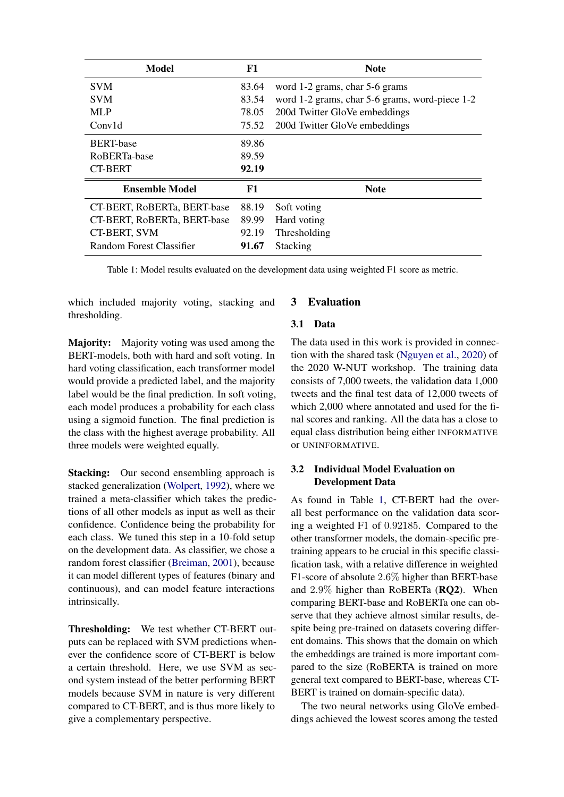<span id="page-2-0"></span>

| <b>Model</b>                | F1    | <b>Note</b>                                    |  |
|-----------------------------|-------|------------------------------------------------|--|
| <b>SVM</b>                  | 83.64 | word 1-2 grams, char 5-6 grams                 |  |
| <b>SVM</b>                  | 83.54 | word 1-2 grams, char 5-6 grams, word-piece 1-2 |  |
| <b>MLP</b>                  | 78.05 | 200d Twitter GloVe embeddings                  |  |
| Conv1d                      | 75.52 | 200d Twitter GloVe embeddings                  |  |
| <b>BERT-base</b>            | 89.86 |                                                |  |
| RoBERTa-base                | 89.59 |                                                |  |
| <b>CT-BERT</b>              | 92.19 |                                                |  |
| <b>Ensemble Model</b>       | F1    | <b>Note</b>                                    |  |
| CT-BERT, RoBERTa, BERT-base | 88.19 | Soft voting                                    |  |
| CT-BERT, RoBERTa, BERT-base | 89.99 | Hard voting                                    |  |
| <b>CT-BERT, SVM</b>         | 92.19 | Thresholding                                   |  |
| Random Forest Classifier    | 91.67 | Stacking                                       |  |

Table 1: Model results evaluated on the development data using weighted F1 score as metric.

which included majority voting, stacking and thresholding.

Majority: Majority voting was used among the BERT-models, both with hard and soft voting. In hard voting classification, each transformer model would provide a predicted label, and the majority label would be the final prediction. In soft voting, each model produces a probability for each class using a sigmoid function. The final prediction is the class with the highest average probability. All three models were weighted equally.

Stacking: Our second ensembling approach is stacked generalization [\(Wolpert,](#page-5-5) [1992\)](#page-5-5), where we trained a meta-classifier which takes the predictions of all other models as input as well as their confidence. Confidence being the probability for each class. We tuned this step in a 10-fold setup on the development data. As classifier, we chose a random forest classifier [\(Breiman,](#page-4-15) [2001\)](#page-4-15), because it can model different types of features (binary and continuous), and can model feature interactions intrinsically.

Thresholding: We test whether CT-BERT outputs can be replaced with SVM predictions whenever the confidence score of CT-BERT is below a certain threshold. Here, we use SVM as second system instead of the better performing BERT models because SVM in nature is very different compared to CT-BERT, and is thus more likely to give a complementary perspective.

# 3 Evaluation

#### 3.1 Data

The data used in this work is provided in connection with the shared task [\(Nguyen et al.,](#page-4-0) [2020\)](#page-4-0) of the 2020 W-NUT workshop. The training data consists of 7,000 tweets, the validation data 1,000 tweets and the final test data of 12,000 tweets of which 2,000 where annotated and used for the final scores and ranking. All the data has a close to equal class distribution being either INFORMATIVE or UNINFORMATIVE.

# 3.2 Individual Model Evaluation on Development Data

As found in Table [1,](#page-2-0) CT-BERT had the overall best performance on the validation data scoring a weighted F1 of 0.92185. Compared to the other transformer models, the domain-specific pretraining appears to be crucial in this specific classification task, with a relative difference in weighted F1-score of absolute 2.6% higher than BERT-base and 2.9% higher than RoBERTa (RQ2). When comparing BERT-base and RoBERTa one can observe that they achieve almost similar results, despite being pre-trained on datasets covering different domains. This shows that the domain on which the embeddings are trained is more important compared to the size (RoBERTA is trained on more general text compared to BERT-base, whereas CT-BERT is trained on domain-specific data).

The two neural networks using GloVe embeddings achieved the lowest scores among the tested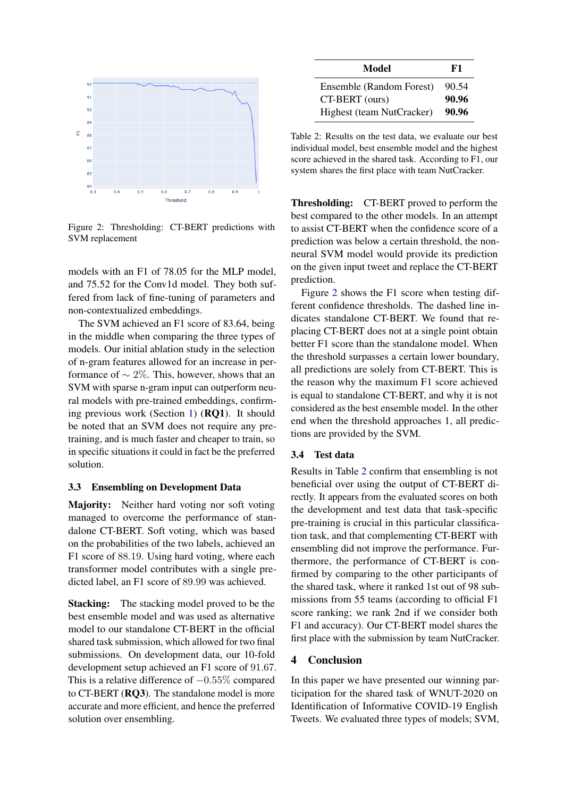<span id="page-3-0"></span>

Figure 2: Thresholding: CT-BERT predictions with SVM replacement

models with an F1 of 78.05 for the MLP model, and 75.52 for the Conv1d model. They both suffered from lack of fine-tuning of parameters and non-contextualized embeddings.

The SVM achieved an F1 score of 83.64, being in the middle when comparing the three types of models. Our initial ablation study in the selection of n-gram features allowed for an increase in performance of  $\sim$  2%. This, however, shows that an SVM with sparse n-gram input can outperform neural models with pre-trained embeddings, confirming previous work (Section [1\)](#page-0-3) (RQ1). It should be noted that an SVM does not require any pretraining, and is much faster and cheaper to train, so in specific situations it could in fact be the preferred solution.

#### 3.3 Ensembling on Development Data

Majority: Neither hard voting nor soft voting managed to overcome the performance of standalone CT-BERT. Soft voting, which was based on the probabilities of the two labels, achieved an F1 score of 88.19. Using hard voting, where each transformer model contributes with a single predicted label, an F1 score of 89.99 was achieved.

Stacking: The stacking model proved to be the best ensemble model and was used as alternative model to our standalone CT-BERT in the official shared task submission, which allowed for two final submissions. On development data, our 10-fold development setup achieved an F1 score of 91.67. This is a relative difference of  $-0.55\%$  compared to CT-BERT (RQ3). The standalone model is more accurate and more efficient, and hence the preferred solution over ensembling.

<span id="page-3-1"></span>

| Model                     | F1    |
|---------------------------|-------|
| Ensemble (Random Forest)  | 90.54 |
| CT-BERT (ours)            | 90.96 |
| Highest (team NutCracker) | 90.96 |

Table 2: Results on the test data, we evaluate our best individual model, best ensemble model and the highest score achieved in the shared task. According to F1, our system shares the first place with team NutCracker.

Thresholding: CT-BERT proved to perform the best compared to the other models. In an attempt to assist CT-BERT when the confidence score of a prediction was below a certain threshold, the nonneural SVM model would provide its prediction on the given input tweet and replace the CT-BERT prediction.

Figure [2](#page-3-0) shows the F1 score when testing different confidence thresholds. The dashed line indicates standalone CT-BERT. We found that replacing CT-BERT does not at a single point obtain better F1 score than the standalone model. When the threshold surpasses a certain lower boundary, all predictions are solely from CT-BERT. This is the reason why the maximum F1 score achieved is equal to standalone CT-BERT, and why it is not considered as the best ensemble model. In the other end when the threshold approaches 1, all predictions are provided by the SVM.

# 3.4 Test data

Results in Table [2](#page-3-1) confirm that ensembling is not beneficial over using the output of CT-BERT directly. It appears from the evaluated scores on both the development and test data that task-specific pre-training is crucial in this particular classification task, and that complementing CT-BERT with ensembling did not improve the performance. Furthermore, the performance of CT-BERT is confirmed by comparing to the other participants of the shared task, where it ranked 1st out of 98 submissions from 55 teams (according to official F1 score ranking; we rank 2nd if we consider both F1 and accuracy). Our CT-BERT model shares the first place with the submission by team NutCracker.

#### 4 Conclusion

In this paper we have presented our winning participation for the shared task of WNUT-2020 on Identification of Informative COVID-19 English Tweets. We evaluated three types of models; SVM,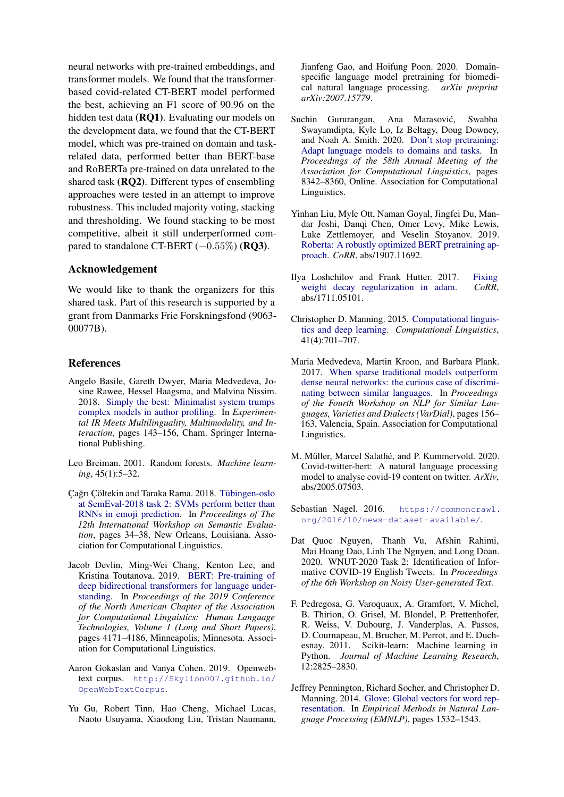neural networks with pre-trained embeddings, and transformer models. We found that the transformerbased covid-related CT-BERT model performed the best, achieving an F1 score of 90.96 on the hidden test data (RQ1). Evaluating our models on the development data, we found that the CT-BERT model, which was pre-trained on domain and taskrelated data, performed better than BERT-base and RoBERTa pre-trained on data unrelated to the shared task (RQ2). Different types of ensembling approaches were tested in an attempt to improve robustness. This included majority voting, stacking and thresholding. We found stacking to be most competitive, albeit it still underperformed compared to standalone CT-BERT  $(-0.55\%)$  (RO3).

#### Acknowledgement

We would like to thank the organizers for this shared task. Part of this research is supported by a grant from Danmarks Frie Forskningsfond (9063- 00077B).

# References

- <span id="page-4-4"></span>Angelo Basile, Gareth Dwyer, Maria Medvedeva, Josine Rawee, Hessel Haagsma, and Malvina Nissim. 2018. [Simply the best: Minimalist system trumps](http://www.let.rug.nl/haagsma/papers/clef2018.pdf) [complex models in author profiling.](http://www.let.rug.nl/haagsma/papers/clef2018.pdf) In *Experimental IR Meets Multilinguality, Multimodality, and Interaction*, pages 143–156, Cham. Springer International Publishing.
- <span id="page-4-15"></span>Leo Breiman. 2001. Random forests. *Machine learning*, 45(1):5–32.
- <span id="page-4-3"></span>Cağrı Cöltekin and Taraka Rama. 2018. Tübingen-oslo [at SemEval-2018 task 2: SVMs perform better than](https://doi.org/10.18653/v1/S18-1004) [RNNs in emoji prediction.](https://doi.org/10.18653/v1/S18-1004) In *Proceedings of The 12th International Workshop on Semantic Evaluation*, pages 34–38, New Orleans, Louisiana. Association for Computational Linguistics.
- <span id="page-4-5"></span>Jacob Devlin, Ming-Wei Chang, Kenton Lee, and Kristina Toutanova. 2019. [BERT: Pre-training of](https://doi.org/10.18653/v1/N19-1423) [deep bidirectional transformers for language under](https://doi.org/10.18653/v1/N19-1423)[standing.](https://doi.org/10.18653/v1/N19-1423) In *Proceedings of the 2019 Conference of the North American Chapter of the Association for Computational Linguistics: Human Language Technologies, Volume 1 (Long and Short Papers)*, pages 4171–4186, Minneapolis, Minnesota. Association for Computational Linguistics.
- <span id="page-4-13"></span>Aaron Gokaslan and Vanya Cohen. 2019. Openwebtext corpus. [http://Skylion007.github.io/](http://Skylion007.github.io/OpenWebTextCorpus) [OpenWebTextCorpus](http://Skylion007.github.io/OpenWebTextCorpus).
- <span id="page-4-7"></span>Yu Gu, Robert Tinn, Hao Cheng, Michael Lucas, Naoto Usuyama, Xiaodong Liu, Tristan Naumann,

Jianfeng Gao, and Hoifung Poon. 2020. Domainspecific language model pretraining for biomedical natural language processing. *arXiv preprint arXiv:2007.15779*.

- <span id="page-4-6"></span>Suchin Gururangan, Ana Marasović, Swabha Swayamdipta, Kyle Lo, Iz Beltagy, Doug Downey, and Noah A. Smith. 2020. [Don't stop pretraining:](https://doi.org/10.18653/v1/2020.acl-main.740) [Adapt language models to domains and tasks.](https://doi.org/10.18653/v1/2020.acl-main.740) In *Proceedings of the 58th Annual Meeting of the Association for Computational Linguistics*, pages 8342–8360, Online. Association for Computational Linguistics.
- <span id="page-4-11"></span>Yinhan Liu, Myle Ott, Naman Goyal, Jingfei Du, Mandar Joshi, Danqi Chen, Omer Levy, Mike Lewis, Luke Zettlemoyer, and Veselin Stoyanov. 2019. [Roberta: A robustly optimized BERT pretraining ap](http://arxiv.org/abs/1907.11692)[proach.](http://arxiv.org/abs/1907.11692) *CoRR*, abs/1907.11692.
- <span id="page-4-10"></span>Ilya Loshchilov and Frank Hutter. 2017. [Fixing](http://arxiv.org/abs/1711.05101) [weight decay regularization in adam.](http://arxiv.org/abs/1711.05101) *CoRR*, abs/1711.05101.
- <span id="page-4-1"></span>Christopher D. Manning. 2015. [Computational linguis](https://doi.org/10.1162/COLI_a_00239)[tics and deep learning.](https://doi.org/10.1162/COLI_a_00239) *Computational Linguistics*, 41(4):701–707.
- <span id="page-4-2"></span>Maria Medvedeva, Martin Kroon, and Barbara Plank. 2017. [When sparse traditional models outperform](https://doi.org/10.18653/v1/W17-1219) [dense neural networks: the curious case of discrimi](https://doi.org/10.18653/v1/W17-1219)[nating between similar languages.](https://doi.org/10.18653/v1/W17-1219) In *Proceedings of the Fourth Workshop on NLP for Similar Languages, Varieties and Dialects (VarDial)*, pages 156– 163, Valencia, Spain. Association for Computational Linguistics.
- <span id="page-4-14"></span>M. Müller, Marcel Salathé, and P. Kummervold. 2020. Covid-twitter-bert: A natural language processing model to analyse covid-19 content on twitter. *ArXiv*, abs/2005.07503.
- <span id="page-4-12"></span>Sebastian Nagel. 2016. [https://commoncrawl.](https://commoncrawl.org/2016/10/news-dataset-available/) [org/2016/10/news-dataset-available/](https://commoncrawl.org/2016/10/news-dataset-available/).
- <span id="page-4-0"></span>Dat Quoc Nguyen, Thanh Vu, Afshin Rahimi, Mai Hoang Dao, Linh The Nguyen, and Long Doan. 2020. WNUT-2020 Task 2: Identification of Informative COVID-19 English Tweets. In *Proceedings of the 6th Workshop on Noisy User-generated Text*.
- <span id="page-4-8"></span>F. Pedregosa, G. Varoquaux, A. Gramfort, V. Michel, B. Thirion, O. Grisel, M. Blondel, P. Prettenhofer, R. Weiss, V. Dubourg, J. Vanderplas, A. Passos, D. Cournapeau, M. Brucher, M. Perrot, and E. Duchesnay. 2011. Scikit-learn: Machine learning in Python. *Journal of Machine Learning Research*, 12:2825–2830.
- <span id="page-4-9"></span>Jeffrey Pennington, Richard Socher, and Christopher D. Manning. 2014. [Glove: Global vectors for word rep](http://www.aclweb.org/anthology/D14-1162)[resentation.](http://www.aclweb.org/anthology/D14-1162) In *Empirical Methods in Natural Language Processing (EMNLP)*, pages 1532–1543.